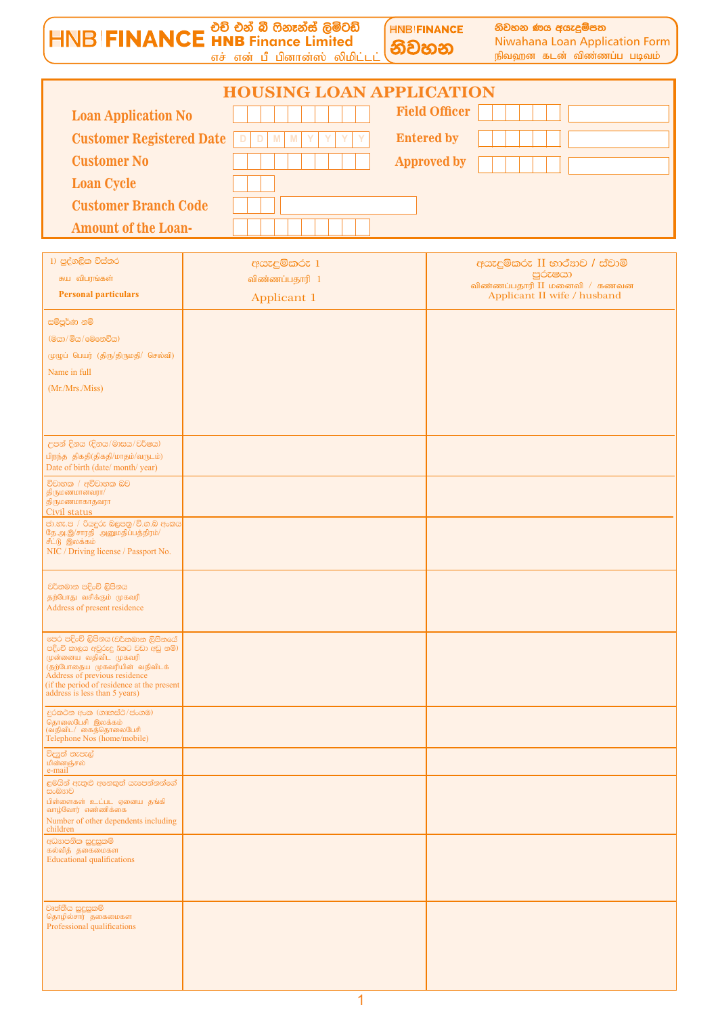<u>HNB|FINANCE</u> භාවි එන් බී ෆිනෑන්ස් ලිමිටඩ් **HNB FINANCE** නිවහන ණය අයැදුම්පත Niwahana Loan Application Form නිවහන எச் என் பீ பினான்ஸ் லிமிட்டட் .<br>நிவஹன கடன் விண்ணப்ப படிவம்

| <b>HOUSING LOAN APPLICATION</b>                                            |                      |  |  |  |  |  |
|----------------------------------------------------------------------------|----------------------|--|--|--|--|--|
| <b>Loan Application No</b>                                                 | <b>Field Officer</b> |  |  |  |  |  |
| <b>Customer Registered Date</b><br>D D M M<br>$\mathbf{Y}$<br>$\mathbf{Y}$ | <b>Entered by</b>    |  |  |  |  |  |
| <b>Customer No</b>                                                         | <b>Approved by</b>   |  |  |  |  |  |
| <b>Loan Cycle</b>                                                          |                      |  |  |  |  |  |
| <b>Customer Branch Code</b>                                                |                      |  |  |  |  |  |
| <b>Amount of the Loan-</b>                                                 |                      |  |  |  |  |  |

| 1) පුද්ගලික විස්තර                                                            | අයැදුම්කරු 1   | අයැදුම්කරු II භාර්ෂාව / ස්වාමි          |
|-------------------------------------------------------------------------------|----------------|-----------------------------------------|
| சுய விபரங்கள்                                                                 | விண்ணப்பதாரி 1 | පුරුෂයා<br>விண்ணப்பதாரி II மனைவி / கணவன |
| <b>Personal particulars</b>                                                   | Applicant 1    | Applicant II wife / husband             |
| සම්පූර්ණ නම්                                                                  |                |                                         |
| (මයා/මිය/මෙනෙවිය)                                                             |                |                                         |
| முழுப் பெயர் (திரு/திருமதி/ செல்வி)                                           |                |                                         |
| Name in full                                                                  |                |                                         |
| (Mr./Mrs./Miss)                                                               |                |                                         |
|                                                                               |                |                                         |
|                                                                               |                |                                         |
| උපන් දිනය (දිනය/මාසය/වර්ෂය)                                                   |                |                                         |
| பிறந்த திகதி(திகதி/மாதம்/வருடம்)<br>Date of birth (date/month/year)           |                |                                         |
| විවාහක / අවිවාහක බව                                                           |                |                                         |
| திருமணமானவரா/<br>திருமணமாகாதவரா                                               |                |                                         |
| Civil status                                                                  |                |                                         |
| ජා.හැ.ප / රියදුරු බලපතු/වි.ග.ඹ අංකය<br>தே.அ.இ/சாரதி அனுமதிப்பத்திரம்/         |                |                                         |
| சீட்டு இலக்கம்<br>NIC / Driving license / Passport No.                        |                |                                         |
|                                                                               |                |                                         |
| වර්තමාන පදිංචි ලිපිනය                                                         |                |                                         |
| தற்போது வசிக்கும் முகவரி<br>Address of present residence                      |                |                                         |
|                                                                               |                |                                         |
| පෙර පදිංචි ලිපිනය (වර්තමාන ලිපිනයේ<br>පදිංචි කාලය අවුරුදු 5කට වඩා අඩු නම්)    |                |                                         |
| முன்னைய வதிவிட முகவரி<br>(தற்போதைய முகவரியின் வதிவிடக்                        |                |                                         |
| Address of previous residence<br>(if the period of residence at the present   |                |                                         |
| address is less than 5 years)                                                 |                |                                         |
| දුරකථන අංක (ගෘහස්ථ/ප්ංගම)                                                     |                |                                         |
| .<br>தொலைபேசி இலக்கம்<br>(வதிவிட/ கைத்தொலைபேசி<br>Telephone Nos (home/mobile) |                |                                         |
| විදුෂුත් තැපැල්<br>மின்னஞ்சல்                                                 |                |                                         |
| e-mail<br>ළමයින් ඇතුළු අනෙකුත් යැපෙන්නන්ගේ                                    |                |                                         |
| සංඛතාව<br>பிள்ளைகள் உட்பட ஏனைய தங்கி                                          |                |                                         |
| வாழ்வோர் எண்ணிக்கை                                                            |                |                                         |
| Number of other dependents including<br>children                              |                |                                         |
| අධතපනික සුදුසුකම්<br>கல்வித் தகைமைகள                                          |                |                                         |
| <b>Educational qualifications</b>                                             |                |                                         |
|                                                                               |                |                                         |
| වෘත්තීය සුදුසුකම්                                                             |                |                                         |
| தொழில்சார் தகைமைகள<br>Professional qualifications                             |                |                                         |
|                                                                               |                |                                         |
|                                                                               |                |                                         |
|                                                                               |                |                                         |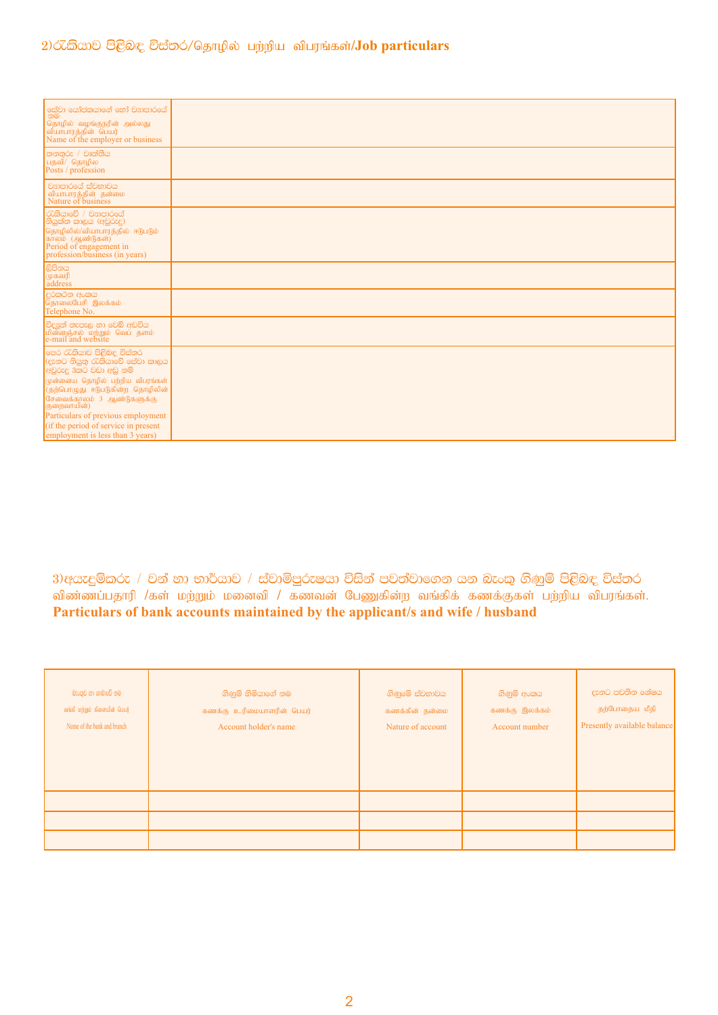## 2) රැකියාව පිළිබඳ විස්තර/தொழில் பற்றிய விபரங்கள்/Job particulars

| <br> සේවා යෝජකයාගේ හෝ වසාපාරයේ  <br> නම<br>தொழில் வழங்குநரின் அல்லது<br> வியாபாரத்தின் பெயர்<br>Name of the employer or business                                                                                                                                                                                              |  |
|-------------------------------------------------------------------------------------------------------------------------------------------------------------------------------------------------------------------------------------------------------------------------------------------------------------------------------|--|
| තනතුරු / වෘත්තීය<br>பதவி/ தொழில<br>Posts / profession                                                                                                                                                                                                                                                                         |  |
| වසාපාරයේ ස්වභාවය<br>வியாபாரத்தின் தன்மை<br>Nature of business                                                                                                                                                                                                                                                                 |  |
| රැකියාවේ / වසාපාරයේ<br>නියුක්ත කාලය (අවුරුදු)<br>தொழிலில்/வியாபாரத்தில் ஈடுபடும்<br>காலம் (ஆண்டுகள்)<br>Period of engagement in<br>profession/business (in years)                                                                                                                                                             |  |
| ලිපිනය<br>முகவரி<br>address                                                                                                                                                                                                                                                                                                   |  |
| දුරකථන අංකය<br>தொலைபேசி இலக்கம்<br>Telephone No.                                                                                                                                                                                                                                                                              |  |
| විදයුත් තැපැල හා වෙබ් අඩවිය<br>மின்னஞ்சல் மற்றும் வெப் தளம்<br>e-mail and website                                                                                                                                                                                                                                             |  |
| මෙර රැකියාව පිළිබඳ විස්තර<br>(දැනට නියුතු රැකියාවේ සේවා කාලය<br>අවුරුදු 3කට වඩා අඩු නම්<br>முன்னைய தொழில் பற்றிய விபரங்கள்<br>(தற்பொழுது ஈடுபடுகின்ற தொழிலின்<br>சேவைக்காலம் 3 ஆண்டுகளுக்கு<br>குறைவாயின்)<br>Particulars of previous employment<br>(if the period of service in present)<br>employment is less than 3 years) |  |

3)අයැදුම්කරු / වන් හා භාර්යාව / ස්වාමිපුරුෂයා විසින් පවත්වාගෙන යන බැංකු ගිණුම් පිළිබඳ විස්තර விண்ணப்பதாரி /கள் மற்றும் மனைவி / கணவன் பேணுகின்ற வங்கிக் கணக்குகள் பற்றிய விபரங்கள். Particulars of bank accounts maintained by the applicant/s and wife / husband

| බැංකුව හා ශාඛාවේ නම<br>வங்கி மற்றும் கிளையின் பெயர்<br>Name of the bank and branch | ගිණුම් හිමියාගේ නම<br>கணக்கு உரிமையாளரின் பெயர்<br>Account holder's name | ගිණුමේ ස්වභාවය<br>கணக்கின் தன்மை<br>Nature of account | ගිණුම් අංකය<br>கணக்கு இலக்கம்<br>Account number | දැනට පවතින ශේෂය<br>தற்போதைய மீதி<br>Presently available balance |
|------------------------------------------------------------------------------------|--------------------------------------------------------------------------|-------------------------------------------------------|-------------------------------------------------|-----------------------------------------------------------------|
|                                                                                    |                                                                          |                                                       |                                                 |                                                                 |
|                                                                                    |                                                                          |                                                       |                                                 |                                                                 |
|                                                                                    |                                                                          |                                                       |                                                 |                                                                 |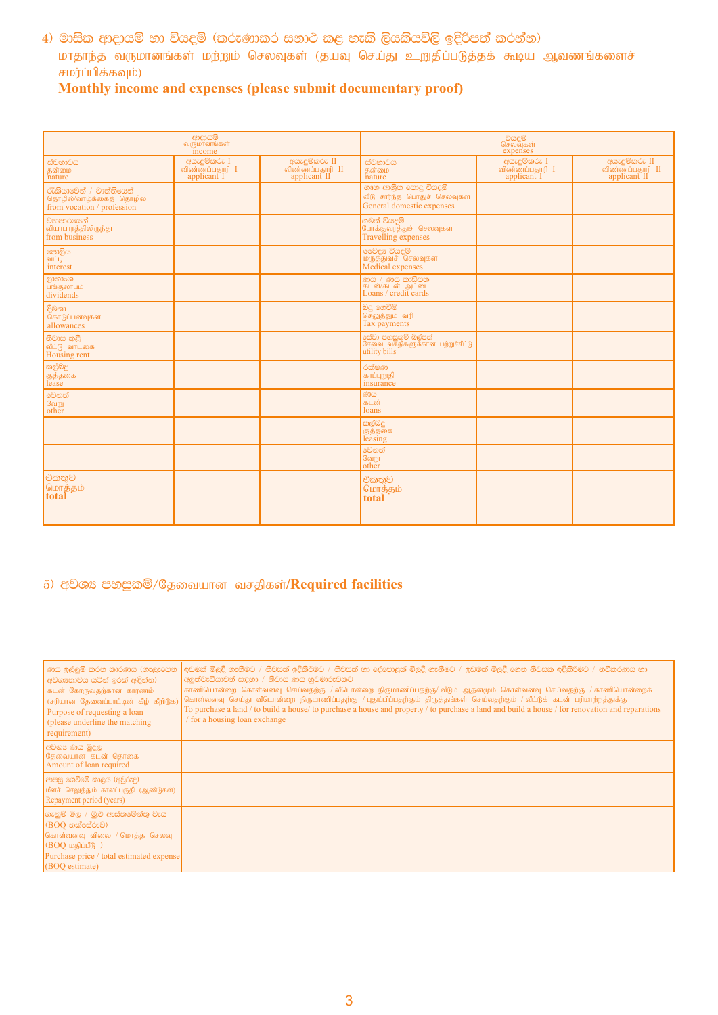4) මාසික ආදායම් හා වියදම් (කරුණාකර සනාථ කළ හැකි ලියකියවිලි ඉදිරිපත් කරන්න) மாதாந்த வருமானங்கள் மற்றும் செலவுகள் (தயவு செய்து உறுதிப்படுத்தக் கூடிய ஆவணங்களைச் சமர்ப்பிக்கவும்)

# Monthly income and expenses (please submit documentary proof)

|                                                                                  | ආදායම්<br>வருமானங்கள்<br>income               |                                                  |                                                                                  | වියදම්<br>செலவுகள்<br>expenses                |                                                  |
|----------------------------------------------------------------------------------|-----------------------------------------------|--------------------------------------------------|----------------------------------------------------------------------------------|-----------------------------------------------|--------------------------------------------------|
| ස්වභාවය<br>கன்மை<br>nature                                                       | අයැදුම්කරු I<br>விண்ணப்பதாரி I<br>applicant I | අයැදුම්කරු II<br>விண்ணப்பதாரி II<br>applicant II | ස්වභාවය<br>கன்மை<br>nature                                                       | අයැදුම්කරු I<br>விண்ணப்பதாரி I<br>applicant I | අයැදුම්කරු II<br>விண்ணப்பதாரி II<br>applicant II |
| රැකියාවෙන් / වෘත්තියෙන්<br>தொழில்/வாழ்க்கைத் தொழில<br>from vocation / profession |                                               |                                                  | ගෘහ ආශිත පොදු වියදම්<br>வீடு சார்ந்த பொதுச் செலவுகள<br>General domestic expenses |                                               |                                                  |
| වසාපාරයෙන්<br>வியாபாரத்திலிருந்து<br>from business                               |                                               |                                                  | ගමන් වියදම්<br>போக்குவரத்துச் செலவுகள<br><b>Travelling</b> expenses              |                                               |                                                  |
| පොලිය<br>வட்டி<br>interest                                                       |                                               |                                                  | මෙවදූෂ වියදම්<br>மருத்துவச்  செலவுகள<br>Medical expenses                         |                                               |                                                  |
| ලාභාංශ<br>பங்குலாபம்<br>dividends                                                |                                               |                                                  | ණය / ණය කාඩ්පත<br>கடன்/கடன் அட்டை<br>Loans / credit cards                        |                                               |                                                  |
| දීමනා<br>கொடுப்பனவுகள<br>allowances                                              |                                               |                                                  | බදු ගෙවීම්<br>செலுத்தும் வரி<br>Tax payments                                     |                                               |                                                  |
| නිවාස කුළී<br>வீட்டு வாடகை<br>Housing rent                                       |                                               |                                                  | සේවා පහසුකම් බිල්පත්<br>சேவை வசதிகளுக்கான பற்றுச்சீட்டு<br>utility bills         |                                               |                                                  |
| කල්බදු<br>குத்தகை<br>lease                                                       |                                               |                                                  | රක්ෂණ<br>காப்புறுதி<br>insurance                                                 |                                               |                                                  |
| මෙනත්<br>வேறு<br>other                                                           |                                               |                                                  | ණය<br>கடன்<br>loans                                                              |                                               |                                                  |
|                                                                                  |                                               |                                                  | කල්බදු<br>குத்தகை<br>leasing                                                     |                                               |                                                  |
|                                                                                  |                                               |                                                  | මෙනත්<br>வேறு<br>other                                                           |                                               |                                                  |
| එකතුව<br>மொத்தம்<br>total                                                        |                                               |                                                  | එකතුව<br>மொத்தம்<br>total                                                        |                                               |                                                  |

# 5) අවශා පහසුකම්/தேவையான வசதிகள்/Required facilities

| ් ණය ඉල්ලුම් කරන කාරණය (ගැලැපෙන<br>  අවශෟතාවය යටින් ඉරක් අඳින්න)<br>கடன் கோருவகற்கான காரணம்<br>(சரியான தேவைப்பாட்டின் கீழ் கீறிடுக)<br>Purpose of requesting a loan<br>(please underline the matching)<br>requirement) | ඉඩමක් මිලදී ගැනීමට / නිවසක් ඉදිකිරීමට / නිවසක් හා දේපොළක් මිලදී ගැනීමට / ඉඩමක් මිලදී ගෙන නිවසක ඉදිකිරීමට / නවීකරණය හා<br>අලුත්වැඩියාවන් සඳහා / නිවාස ණය හුවමාරුවකට<br>காணியொன்றை கொள்வனவு செய்வதற்கு / வீடொன்றை நிருமாணிப்பதற்கு/ வீடும் ஆதனமும் கொள்வனவு செய்வதற்கு / காணியொன்றைக்<br>கொள்வனவு செய்து வீடொன்றை நிருமாணிப்பதற்கு / புதுப்பிப்பதற்கும் திருத்தங்கள் செய்வதற்கும் / வீட்டுக் கடன் பரிமாற்றத்துக்கு<br>To purchase a land / to build a house/ to purchase a house and property / to purchase a land and build a house / for renovation and reparations<br>/ for a housing loan exchange |
|------------------------------------------------------------------------------------------------------------------------------------------------------------------------------------------------------------------------|------------------------------------------------------------------------------------------------------------------------------------------------------------------------------------------------------------------------------------------------------------------------------------------------------------------------------------------------------------------------------------------------------------------------------------------------------------------------------------------------------------------------------------------------------------------------------------------------------|
| අවශ් ණය මුදල<br>தேவையான கடன் தொகை<br>Amount of loan required                                                                                                                                                           |                                                                                                                                                                                                                                                                                                                                                                                                                                                                                                                                                                                                      |
| ආපසු ගෙවීමේ කාලය (අවුරුදු)<br>மீளச் செலுத்தும் காலப்பகுதி (ஆண்டுகள்)<br>Repayment period (years)                                                                                                                       |                                                                                                                                                                                                                                                                                                                                                                                                                                                                                                                                                                                                      |
| ගැනුම් මිල / මුළු ඇස්තමේන්තු වැය<br>(BOO තක්සේරුව)<br>கொள்வனவு விலை / மொத்த செலவு<br>$(BOQ \nightharpoonup B)$<br>Purchase price / total estimated expense<br>(BOQ estimate)                                           |                                                                                                                                                                                                                                                                                                                                                                                                                                                                                                                                                                                                      |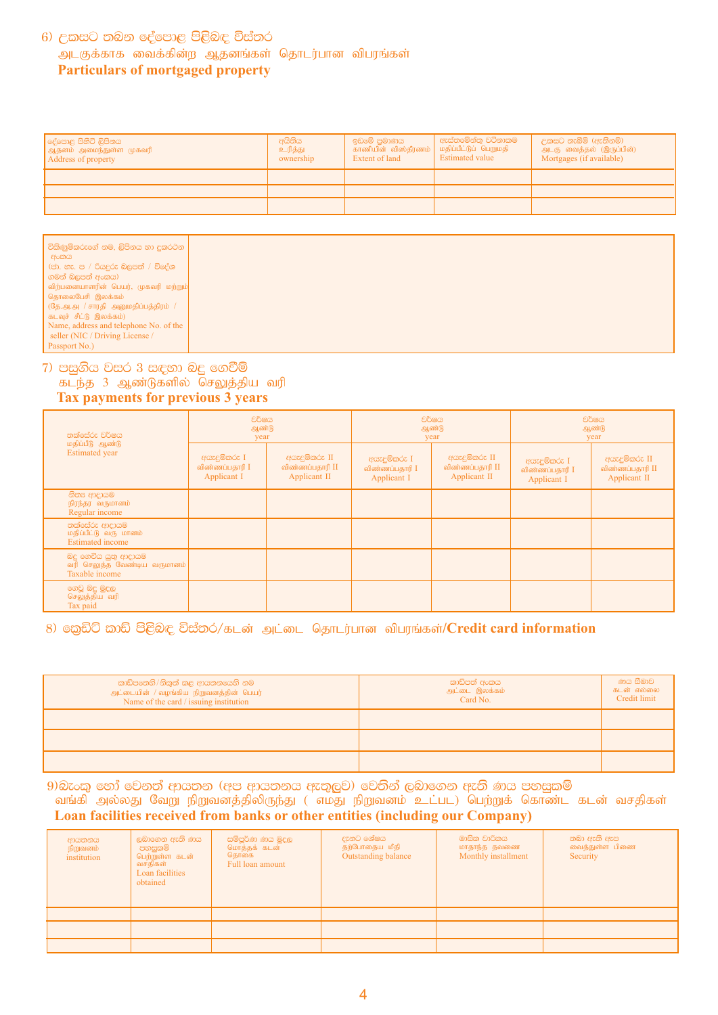### $6)$  උකසට තබන දේපොළ පිළිබඳ විස්තර அடகுக்காக வைக்கின்ற ஆதனங்கள் தொடர்பான விபரங்கள்  **Particulars of mortgaged property**

| ලද්පොළ පිහිටි ලිපිනය<br>ஆதனம் அமைந்துள்ள முகவரி<br>Address of property | අයිතිය<br>உரித்து<br>ownership | ඉඩමේ පුමාණය<br>காணியின் விஸ்தீரணம்   மதிப்பீட்டுப் பெறுமதி<br>Extent of land | ් ඇස්තමේන්තු වටිනාකම<br><b>Estimated value</b> | උකසට තැබීම් (ඇතිනම්)<br>அடகு வைத்தல் (இருப்பின்)<br>Mortgages (if available) |
|------------------------------------------------------------------------|--------------------------------|------------------------------------------------------------------------------|------------------------------------------------|------------------------------------------------------------------------------|
|                                                                        |                                |                                                                              |                                                |                                                                              |
|                                                                        |                                |                                                                              |                                                |                                                                              |
|                                                                        |                                |                                                                              |                                                |                                                                              |

| விற்பனையாளரின் பெயர், முகவரி மற்றும்<br>தொலைபேசி இலக்கம்<br>(தே.அ.அ / சாரதி அனுமதிப்பத்திரம் /<br>கடவுச் சீட்டு இலக்கம்)<br>Name, address and telephone No. of the<br>seller (NIC / Driving License / |
|-------------------------------------------------------------------------------------------------------------------------------------------------------------------------------------------------------|
|-------------------------------------------------------------------------------------------------------------------------------------------------------------------------------------------------------|

#### 7) පසුගිය වසර 3 සඳහා බදු ගෙවීම් கடந்த 3 ஆண்டுகளில் செலுத்திய வரி  **Tax payments for previous 3 years**

| තක්සේරු වර්ෂය<br>மதிப்பீடு ஆண்டு<br><b>Estimated</b> year              | වර්ෂය<br>ஆண்டு<br>year                        |                                                  | වර්ෂය<br>ஆண்டு<br>year                        |                                                  | වර්ෂය<br>ஆண்டு<br>year                        |                                                  |
|------------------------------------------------------------------------|-----------------------------------------------|--------------------------------------------------|-----------------------------------------------|--------------------------------------------------|-----------------------------------------------|--------------------------------------------------|
|                                                                        | අයැදුම්කරු I<br>விண்ணப்பதாரி I<br>Applicant I | අයැදුම්කරු II<br>விண்ணப்பதாரி II<br>Applicant II | අයැදුම්කරු I<br>விண்ணப்பதாரி I<br>Applicant I | අයැදුම්කරු II<br>விண்ணப்பதாரி II<br>Applicant II | අයැදුම්කරු I<br>விண்ணப்பதாரி I<br>Applicant I | අයැදුම්කරු II<br>விண்ணப்பதாரி II<br>Applicant II |
| නිතය ආදායම<br>நிரந்தர வருமானம்<br>Regular income                       |                                               |                                                  |                                               |                                                  |                                               |                                                  |
| තක්සේරු ආදායම<br>மதிப்பீட்டு வரு மானம்<br><b>Estimated</b> income      |                                               |                                                  |                                               |                                                  |                                               |                                                  |
| බදු ගෙවිය යුතු ආදායම<br>வரி செலுத்த வேண்டிய வருமானம்<br>Taxable income |                                               |                                                  |                                               |                                                  |                                               |                                                  |
| ගෙවූ බදු මුදල<br>செலுத்திய வரி<br>Tax paid                             |                                               |                                                  |                                               |                                                  |                                               |                                                  |

### 8) ஹேலி ஸ்லி පිළිබඳ විස්තර/கடன் அட்டை தொடர்பான விபரங்கள்/Credit card information

| කාඩ්පතෙහි/නිකුත් කළ ආයතනයෙහි නම<br>அட்டையின் / வழங்கிய நிறுவனத்தின் பெயர்<br>Name of the card / issuing institution | කාඩ්පත් අංකය<br>அட்டை இலக்கம்<br>Card No. | ණය සීමාව<br>கடன் எல்லை<br>Credit limit |
|---------------------------------------------------------------------------------------------------------------------|-------------------------------------------|----------------------------------------|
|                                                                                                                     |                                           |                                        |
|                                                                                                                     |                                           |                                        |
|                                                                                                                     |                                           |                                        |

 $9$ ) බැංකු හෝ වෙනත් ආයතන (අප ආයතනය ඇතුලුව) වෙතින් ලබාගෙන ඇති ණය පහසුකම් வங்கி அல்லது வேறு நிறுவனத்திலிருந்து ( எமது நிறுவனம் உட்பட) பெற்றுக் கொண்ட கடன் வசதிகள்  **Loan facilities received from banks or other entities (including our Company)**

| ආයතනය<br>நிறுவனம்<br>institution | ලබාගෙන ඇති ණය<br>පහසුකම්<br>பெற்றுள்ள கடன்<br>வசதிகள்<br>Loan facilities<br>obtained | සම්පූර්ණ ණය මුදල<br>மொத்தக் கடன்<br>தொகை<br>Full loan amount | දැනට ශේෂය<br>தற்போதைய மீதி<br>Outstanding balance | මාසික වාරිකය<br>மாதாந்த தவணை<br>Monthly installment | තබා ඇති ඇප<br>வைத்துள்ள பிணை<br>Security |
|----------------------------------|--------------------------------------------------------------------------------------|--------------------------------------------------------------|---------------------------------------------------|-----------------------------------------------------|------------------------------------------|
|                                  |                                                                                      |                                                              |                                                   |                                                     |                                          |
|                                  |                                                                                      |                                                              |                                                   |                                                     |                                          |
|                                  |                                                                                      |                                                              |                                                   |                                                     |                                          |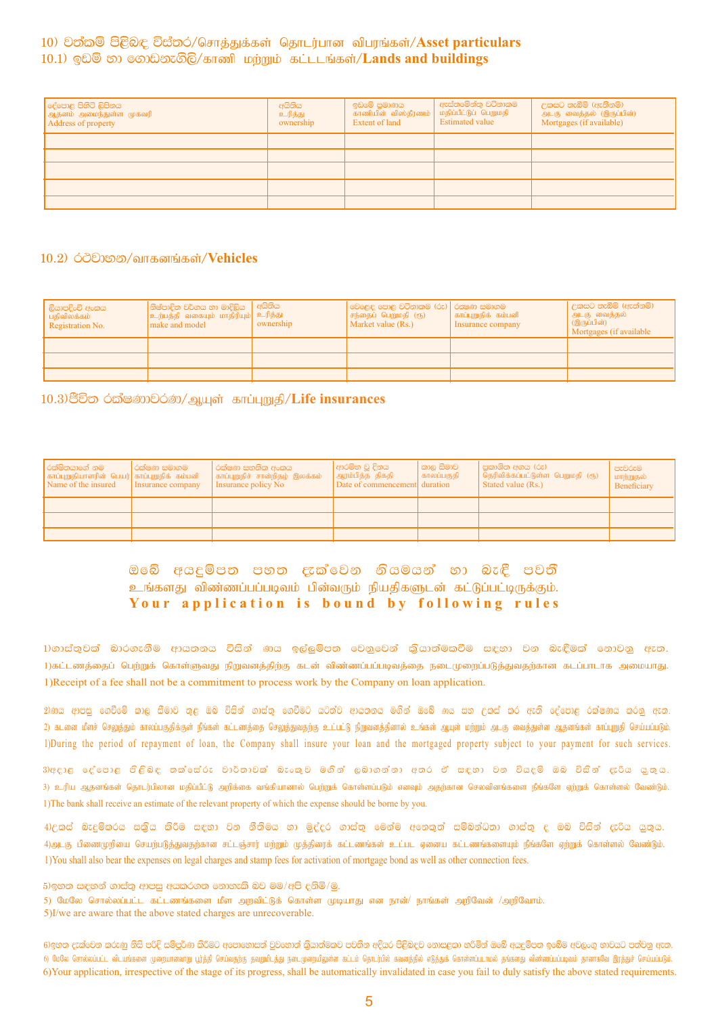#### 10) වත්කම් පිළිබඳ විස්තර/சொத்துக்கள் தொடர்பான விபரங்கள்/Asset particulars 10.1) ஒඩම් හා ගොඩනැගිලි/காணி மற்றும் கட்டடங்கள்/Lands and buildings

| දේපොළ පිහිටි ලිපිනය<br>  ஆதனம் அமைந்துள்ள முகவரி<br>Address of property | අයිතිය<br>உரித்து<br>ownership | ඉඩමේ පුමාණය<br>காணியின் விஸ்தீரணம்<br>Extent of land | ඇස්තමේන්තු වටිනාකම<br>மதிப்பீட்டுப் பெறுமதி<br><b>Estimated value</b> | උකසට තැබීම් (ඇතිිනම්)<br>அடகு  வைத்தல்  (இருப்பின்)<br>Mortgages (if available) |
|-------------------------------------------------------------------------|--------------------------------|------------------------------------------------------|-----------------------------------------------------------------------|---------------------------------------------------------------------------------|
|                                                                         |                                |                                                      |                                                                       |                                                                                 |
|                                                                         |                                |                                                      |                                                                       |                                                                                 |
|                                                                         |                                |                                                      |                                                                       |                                                                                 |
|                                                                         |                                |                                                      |                                                                       |                                                                                 |
|                                                                         |                                |                                                      |                                                                       |                                                                                 |

#### 10.2) ෮෮෩෨෮ வாகனங்கள்/Vehicles

| ලියාපදිංචි අංකය<br>  பதிவிலக்கம்<br>Registration No. | ්නිෂ්පාදිත වර්ගය හා මාදිලිය   අයිතිය<br>$\left \text{\textbf{2}}\right $ ற்பத்தி வகையும் மாதிரியும் $\left \text{\textbf{2}}\right $ ந்து<br>make and model | ownership | වෙළෙඳ පොළ වටිනාකම (රු)   රකෂණ සමාගම<br>  சந்தைப் பெறுமதி (ரூ)<br>Market value (Rs.) | காப்புறுதிக் கம்பனி<br>Insurance company | <sup> </sup> උකසට තැබීම් (ඇත්නම්)  <br>அடகு வைத்தல்<br>(இருப்பின்)<br>Mortgages (if available |
|------------------------------------------------------|-------------------------------------------------------------------------------------------------------------------------------------------------------------|-----------|-------------------------------------------------------------------------------------|------------------------------------------|-----------------------------------------------------------------------------------------------|
|                                                      |                                                                                                                                                             |           |                                                                                     |                                          |                                                                                               |
|                                                      |                                                                                                                                                             |           |                                                                                     |                                          |                                                                                               |
|                                                      |                                                                                                                                                             |           |                                                                                     |                                          |                                                                                               |

10.3) சீலி ்வீகல் லூல்/ஆயுள் காப்புறுதி/Life insurances

| ්රක්ෂිතයාගේ නම<br>காப்புறுதியாளரின் பெயர்  காப்புறுதிக் கம்பனி<br>Name of the insured | රක්ෂණ සමාගම<br>Insurance company | රක්ෂණ සහතික අංකය<br>  காப்புறுதிச் சான்றிதழ் இலக்கம்<br>Insurance policy No | ආරම්භ වූ දිනය<br><u>  ஆரம்பித்த</u> திகதி<br>Date of commencement duration | කාල සීමාව<br>  காலப்பகுதி | පුකාශිත අගය (රු)<br>  தெரிவிக்கப்பட்டுள்ள பெறுமதி (ரூ)<br>Stated value (Rs.) | පැවරුම<br>மாற்றுதல்<br>Beneficiary |
|---------------------------------------------------------------------------------------|----------------------------------|-----------------------------------------------------------------------------|----------------------------------------------------------------------------|---------------------------|------------------------------------------------------------------------------|------------------------------------|
|                                                                                       |                                  |                                                                             |                                                                            |                           |                                                                              |                                    |
|                                                                                       |                                  |                                                                             |                                                                            |                           |                                                                              |                                    |
|                                                                                       |                                  |                                                                             |                                                                            |                           |                                                                              |                                    |

ඔබේ අයදුම්පත පහත දැක්වෙන නියමයන් හා බැඳී පවතී உங்களது விண்ணப்பப்படிவம் பின்வரும் நியதிகளுடன் கட்டுப்பட்டிருக்கும். Your application is bound by following rules

1)ගාස්තුවක් බාරගැනීම ආයතනය විසින් ණය ඉල්ලුම්පත වෙනුවෙන් කුියාත්මකවීම සඳහා වන බැඳීමක් නොවනු ඇත. 1)கட்டணத்தைப் பெற்றுக் கொள்ளுவது நிறுவனத்திற்கு கடன் விண்ணப்பப்படிவத்தை நடைமுறைப்படுத்துவதற்கான கடப்பாடாக அமையாது. 1) Receipt of a fee shall not be a commitment to process work by the Company on loan application.

2)ණය ආපසු ගෙවීමේ කාල සීමාව තුළ ඔබ විසින් ගාස්තු ගෙවීමට යටත්ව ආයතනය මගින් ඔබේ ණය සහ උකස් කර ඇති දේපොළ රක්ෂණය කරනු ඇත. 2) கடனை மீளச் செலுத்தும் காலப்பகுதிக்குள் நீங்கள் கட்டணத்தை செலுத்துவதற்கு உட்பட்டு நிறுவனத்தினால் உங்கள் ஆயுள் மற்றும் அடகு வைத்துள்ள ஆதனங்கள் காப்புறுதி செய்யப்படும். 1)During the period of repayment of loan, the Company shall insure your loan and the mortgaged property subject to your payment for such services.

3)අදාළ දේපොළ ජිළිබඳ තක්සේරු වාර්තාවක් බැංකුව මගින් ලබාගන්නා අතර ඒ සඳහා වන වියදම් ඔබ විසින් දැරිය යුතුය. 3) உரிய ஆதனங்கள் தொடர்பிலான மதிப்பீட்டு அறிக்கை வங்கியானால் பெற்றுக் கொள்ளப்படும் எனவும் அதற்கான செலவினங்களை நீங்களே ஏற்றுக் கொள்ளல் வேண்டும். 1) The bank shall receive an estimate of the relevant property of which the expense should be borne by you.

4)උකස් බැදුම්කරය සකුිය කිරීම සඳහා වන නීතිමය හා මුද්දර ගාස්තු මෙන්ම අනෙකුත් සම්බන්ධතා ගාස්තු ද ඔබ විසින් දැරිය යුතුය. 4)அடகு பிணைமுறியை செயற்படுத்துவதற்கான சட்டஞ்சார் மற்றும் முத்திரைக் கட்டணங்கள் உட்பட ஏனைய கட்டணங்களையும் நீங்களே ஏற்றுக் கொள்ளல் வேண்டும். 1) You shall also bear the expenses on legal charges and stamp fees for activation of mortgage bond as well as other connection fees.

5)ඉහත සඳහන් ගාස්තු ආපසු අයකරගත නොහැකි බව මම/අපි දුනිමි/මු.

5) மேலே சொல்லப்பட்ட கட்டணங்களை மீள அறவிட்டுக் கொள்ள முடியாது என நான்/ நாங்கள் அறிவேன் /அறிவோம்.

5)I/we are aware that the above stated charges are unrecoverable.

6)ඉහත දැක්වෙන කරුණු නිසි පරිදි සම්පර්ණ කිරීමට අපොහොසත් වුවහොත් කියාත්මකව පවතින අදියර පිළිබඳව නොසඳකා හරිමින් ඔබේ අයැම්පත ඉබේම අවලංග භාවයට පත්වන ඇත. 6) மேலே சொல்லப்பட்ட விடயங்களை முறையாளவாறு பூர்த்தி செய்வதற்கு தவறுமிடத்து நடைமுறையிலுள்ள கட்டம் தொடர்வில் கவனத்தில் எடுத்துக் கொள்ளப்படாமல் தங்களது விண்ணப்பப்படிவம் தானாகவே இரத்துச் செய்யப்படும். 6) Your application, irrespective of the stage of its progress, shall be automatically invalidated in case you fail to duly satisfy the above stated requirements.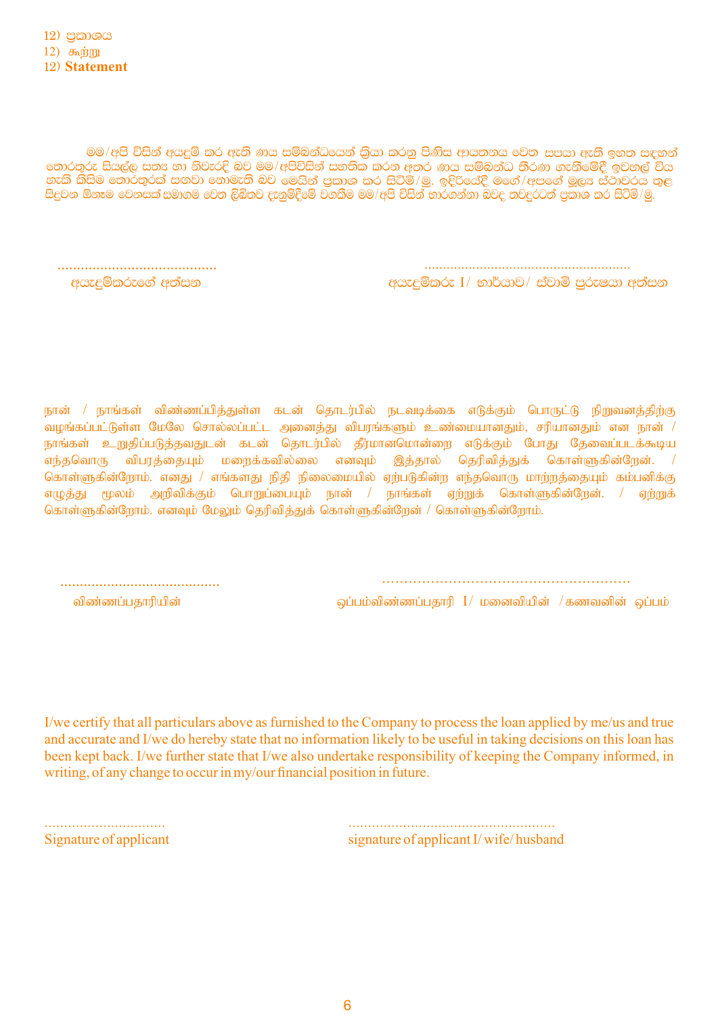මම/අපි විසින් අයදුම් කර ඇති ණය සම්බන්ධයෙන් කියා කරනු පිණිස ආයතනය වෙත සපයා ඇති ඉහත සඳහන් තොරතුරු සියල්ල සත¤ හා නිවැරදි බව මම/අපිවිසින් සහතික කරන අතර ණය සම්බන්ධ තීරණ ගැනීමේදී ඉවහල් විය ිනැති කිසිම තොරතුරක් සඟවා නොමැති බව මෙයින් පුකාශ කර සිටිමි∕මු. ඉදිරියේදී මගේ∕අපගේ මූල¤ ස්ථාවරය තුළ<br>හැකි කිසිම තොරතුරක් සඟවා නොමැති බව මෙයින් පුකාශ කර සිටිමි∕මු. ඉදිරියේදී මගේ∕අපගේ මූල¤ ස්ථාවරය තුළ<br>සිදුවන ඕනෑම වෙනසක්සමාග

> අයැදුම්කරු I/ භාර්යාව/ ස්වාමි පුරුෂයා අත්සන

අයැදුම්කරුගේ අත්සන

நான் / நாங்கள் விண்ணப்பித்துள்ள கடன் தொடர்பில் நடவடிக்கை எடுக்கும் பொருட்டு நிறுவனத்திற்கு வழங்கப்பட்டுள்ள மேலே சொல்லப்பட்ட அனைத்து விபரங்களும் உண்மையானதும், சரியானதும் என நான் / நாங்கள் உறுதிப்படுத்தவதுடன் கடன் தொடர்பில் தீர்மானமொன்றை எடுக்கும் போது தேவைப்படக்கூடிய எந்தவொரு விபரத்தையும் மறைக்கவில்லை எனவும் இத்தால் தெரிவித்துக் கொள்ளுகின்றேன். / கொள்ளுகின்றோம். எனது / எங்களது நிதி நிலைமையில் ஏற்படுகின்ற எந்தவொரு மாற்றத்தையும் கம்பனிக்கு எழுத்து மூலம் அறிவிக்கும் பொறுப்பையும் நான் / நாங்கள் ஏற்றுக் கொள்ளுகின்றேன். / ஏற்றுக் கொள்ளுகின்றோம். எனவும் மேலும் தெரிவித்துக் கொள்ளுகின்றேன் / கொள்ளுகின்றோம்.

விண்ணப்பகாரியின்

லப்பம்விண்ணப்பகாரி I/ மனைவியின் /கணவனின் லப்பம்

I/we certify that all particulars above as furnished to the Company to process the loan applied by me/us and true and accurate and I/we do hereby state that no information likely to be useful in taking decisions on this loan has been kept back. I/we further state that I/we also undertake responsibility of keeping the Company informed, in writing, of any change to occur in my/our financial position in future.

Signature of applicant signature of applicant I/wife/husband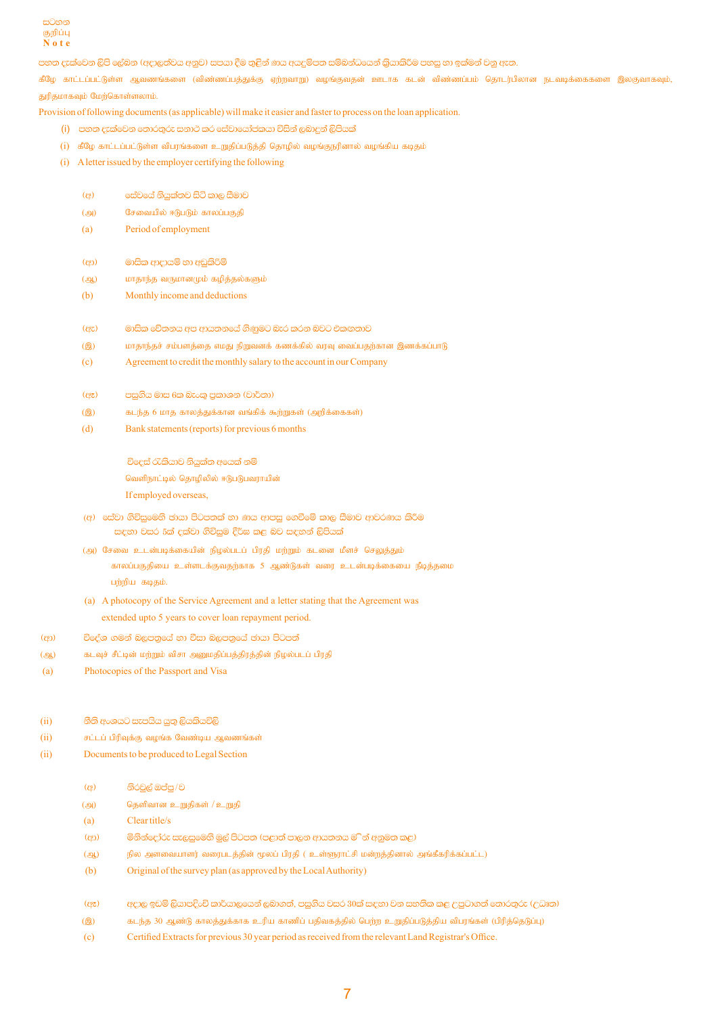

පහත දැක්වෙන ලිපි ලේබන (අදාලත්වය අනුව) සපයා දීම තුළින් ණය අයදුම්පත සම්බන්ධයෙන් කියාකිරීම පහසු හා ඉක්මන් වනු ඇත.

கீழே காட்டப்பட்டுள்ள ஆவணங்களை (விண்ணப்பத்துக்கு ஏற்றவாறு) வழங்குவதன் ஊடாக கடன் விண்ணப்பம் தொடர்பிலான நடவடிக்கைகளை இலகுவாகவும், துரிதமாகவும் மேற்கொள்ளலாம்.

Provision of following documents (as applicable) will make it easier and faster to process on the loan application.

- .<br>(i) පහත දැක්වෙන තොරතුරු සනාථ කර සේවායෝජකයා විසින් ලබාදන් ලිපියක්
- (i) கீழே காட்டப்பட்டுள்ள விபரங்களை உறுதிப்படுத்தி தொழில் வழங்குநரினால் வழங்கிய கடிதம்
- (i) A letter issued by the employer certifying the following
	- $\left( \frac{\partial}{\partial x} \right)$ සේවයේ නියුක්තව සිටි කාල සීමාව
	- (அ) சேவையில் ஈடுபடும் காலப்பகுதி
	- $(a)$ Period of employment
	- මාසික ආදායම් හා අඩුකිරිම්  $(\epsilon p)$
	- மாதாந்த வருமானமும் கழித்தல்களும்  $\left( \bigoplus_{\alpha} \right)$
	- Monthly income and deductions  $(h)$
	- $(EZ)$ මාසික වේතනය අප ආයතනයේ ගිණුමට බැර කරන බවට එකඟතාව
	- மாதாந்தச் சம்பளத்தை எமது நிறுவனக் கணக்கில் வரவு வைப்பதற்கான இணக்கப்பாடு  $(9)$
	- Agreement to credit the monthly salary to the account in our Company  $(c)$
	- $(85)$ පසුගිය මාස 6ක බැංකු පුකාශන (වාර්තා)
	- $(9)$ கடந்த 6 மாத காலத்துக்கான வங்கிக் கூற்றுகள் (அறிக்கைகள்)
	- $(d)$ Bank statements (reports) for previous 6 months

විදෙස් රැකියාව නියුක්ත අයෙක් නම් வெளிநாட்டில் தொழிலில் ஈடுபடுபவராயின் If employed overseas,

- (අ) සේවා ගිවිසුමෙහි ඡායා පිටපතක් හා ණය ආපසු ගෙවීමේ කාල සීමාව ආවරණය කිරීම සඳහා වසර 5ක් දක්වා ගිවිසුම දීර්ඝ කළ බව සඳහන් ලිපියක්
- (அ) சேவை உடன்படிக்கையின் நிழல்படப் பிரதி மற்றும் கடனை மீளச் செலுத்தும் காலப்பகுதியை உள்ளடக்குவதற்காக 5 ஆண்டுகள் வரை உடன்படிக்கையை நீடித்தமை பற்றிய கடிதம்.
- (a) A photocopy of the Service Agreement and a letter stating that the Agreement was extended upto 5 years to cover loan repayment period.
- විදේශ ගමන් බලපතුයේ හා විසා බලපතුයේ ඡායා පිටපත්  $(c<sub>2</sub>)$
- கடவுச் சீட்டின் மற்றும் விசா அனுமதிப்பத்திரத்தின் நிழல்படப் பிரதி  $\left( \bigoplus_{\alpha} \right)$
- Photocopies of the Passport and Visa  $(a)$
- නීති අංශයට සැපයිය යුතු ලියකියවිලි  $(ii)$
- $(ii)$ சட்டப் பிரிவுக்கு வழங்க வேண்டிய ஆவணங்கள்
- Documents to be produced to Legal Section  $(ii)$ 
	- $\left( \epsilon \right)$ නිරවුල් ඔප්පු/ව
	- $\overline{(\mathcal{Q})}$ தெளிவான உறுதிகள் / உறுதி
	- $(a)$ Clear title/s
	- මිනින්දෝරු සැලසුමෙහි මුල් පිටපත (පළාත් පාලන ආයතනය ම ින් අනුමත කළ)  $(\epsilon)$
	- .<br>நில அளவையாளர் வரைபடத்தின் மூலப் பிரதி ( உள்ளுராட்சி மன்றத்தினால் அங்கீகரிக்கப்பட்ட)  $(4)$
	- $(b)$ Original of the survey plan (as approved by the Local Authority)
	- අදාල ඉඩම් ලියාපදිංචි කාර්යාලයෙන් ලබාගත්, පසුගිය වසර 30ක් සඳහා වන සහතික කළ උපුටාගත් තොරතුරු (උධෘත)  $(EE)$
	- $(⑥)$ கடந்த 30 ஆண்டு காலத்துக்காக உரிய காணிப் பதிவகத்தில் பெற்ற உறுதிப்படுத்திய விபரங்கள் (பிரித்தெடுப்பு)
	- Certified Extracts for previous 30 year period as received from the relevant Land Registrar's Office.  $(c)$